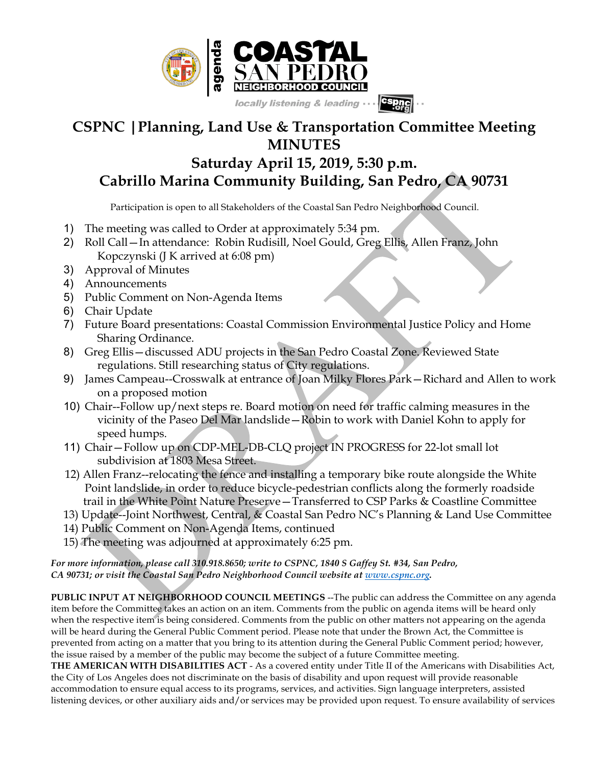

## **CSPNC |Planning, Land Use & Transportation Committee Meeting MINUTES**

## **Saturday April 15, 2019, 5:30 p.m. Cabrillo Marina Community Building, San Pedro, CA 90731**

- Participation is open to all Stakeholders of the Coastal San Pedro Neighborhood Council.
- 1) The meeting was called to Order at approximately 5:34 pm.
- 2) Roll Call—In attendance: Robin Rudisill, Noel Gould, Greg Ellis, Allen Franz, John Kopczynski (J K arrived at 6:08 pm)
- 3) Approval of Minutes
- 4) Announcements
- 5) Public Comment on Non-Agenda Items
- 6) Chair Update
- 7) Future Board presentations: Coastal Commission Environmental Justice Policy and Home Sharing Ordinance.
- 8) Greg Ellis—discussed ADU projects in the San Pedro Coastal Zone. Reviewed State regulations. Still researching status of City regulations.
- 9) James Campeau--Crosswalk at entrance of Joan Milky Flores Park—Richard and Allen to work on a proposed motion
- 10) Chair--Follow up/next steps re. Board motion on need for traffic calming measures in the vicinity of the Paseo Del Mar landslide—Robin to work with Daniel Kohn to apply for speed humps.
- 11) Chair—Follow up on CDP-MEL-DB-CLQ project IN PROGRESS for 22-lot small lot subdivision at 1803 Mesa Street.
- 12) Allen Franz--relocating the fence and installing a temporary bike route alongside the White Point landslide, in order to reduce bicycle-pedestrian conflicts along the formerly roadside trail in the White Point Nature Preserve—Transferred to CSP Parks & Coastline Committee
- 13) Update--Joint Northwest, Central, & Coastal San Pedro NC's Planning & Land Use Committee
- 14) Public Comment on Non-Agenda Items, continued
- 15) The meeting was adjourned at approximately 6:25 pm.

## *For more information, please call 310.918.8650; write to CSPNC, 1840 S Gaffey St. #34, San Pedro, CA 90731; or visit the Coastal San Pedro Neighborhood Council website at www.cspnc.org.*

**PUBLIC INPUT AT NEIGHBORHOOD COUNCIL MEETINGS** --The public can address the Committee on any agenda item before the Committee takes an action on an item. Comments from the public on agenda items will be heard only when the respective item is being considered. Comments from the public on other matters not appearing on the agenda will be heard during the General Public Comment period. Please note that under the Brown Act, the Committee is prevented from acting on a matter that you bring to its attention during the General Public Comment period; however, the issue raised by a member of the public may become the subject of a future Committee meeting.

**THE AMERICAN WITH DISABILITIES ACT** - As a covered entity under Title II of the Americans with Disabilities Act, the City of Los Angeles does not discriminate on the basis of disability and upon request will provide reasonable accommodation to ensure equal access to its programs, services, and activities. Sign language interpreters, assisted listening devices, or other auxiliary aids and/or services may be provided upon request. To ensure availability of services